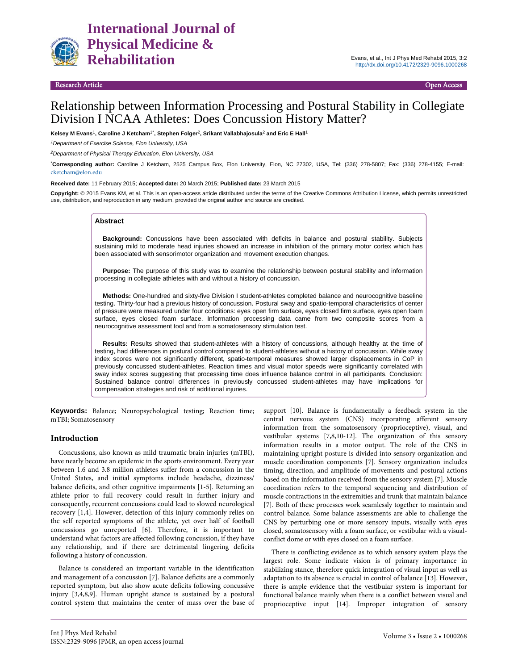

#### 5 Besearch Article Communication of the Communication of the Communication of the Communication of the Communication of the Communication of the Communication of the Communication of the Communication of the Communication

# Relationship between Information Processing and Postural Stability in Collegiate Division I NCAA Athletes: Does Concussion History Matter?

#### **Kelsey M Evans**1**, Caroline J Ketcham**1\***, Stephen Folger**2**, Srikant Vallabhajosula**2 **and Eric E Hall**<sup>1</sup>

*1Department of Exercise Science, Elon University, USA*

*2Department of Physical Therapy Education, Elon University, USA*

\* **Corresponding author:** Caroline J Ketcham, 2525 Campus Box, Elon University, Elon, NC 27302, USA, Tel: (336) 278-5807; Fax: (336) 278-4155; E-mail: cketcham@elon.edu

**Received date:** 11 February 2015; **Accepted date:** 20 March 2015; **Published date:** 23 March 2015

**Copyright:** © 2015 Evans KM, et al. This is an open-access article distributed under the terms of the Creative Commons Attribution License, which permits unrestricted use, distribution, and reproduction in any medium, provided the original author and source are credited.

#### **Abstract**

**Background:** Concussions have been associated with deficits in balance and postural stability. Subjects sustaining mild to moderate head injuries showed an increase in inhibition of the primary motor cortex which has been associated with sensorimotor organization and movement execution changes.

**Purpose:** The purpose of this study was to examine the relationship between postural stability and information processing in collegiate athletes with and without a history of concussion.

**Methods:** One-hundred and sixty-five Division I student-athletes completed balance and neurocognitive baseline testing. Thirty-four had a previous history of concussion. Postural sway and spatio-temporal characteristics of center of pressure were measured under four conditions: eyes open firm surface, eyes closed firm surface, eyes open foam surface, eyes closed foam surface. Information processing data came from two composite scores from a neurocognitive assessment tool and from a somatosensory stimulation test.

**Results:** Results showed that student-athletes with a history of concussions, although healthy at the time of testing, had differences in postural control compared to student-athletes without a history of concussion. While sway index scores were not significantly different, spatio-temporal measures showed larger displacements in CoP in previously concussed student-athletes. Reaction times and visual motor speeds were significantly correlated with sway index scores suggesting that processing time does influence balance control in all participants. Conclusion: Sustained balance control differences in previously concussed student-athletes may have implications for compensation strategies and risk of additional injuries.

**Keywords:** Balance; Neuropsychological testing; Reaction time; mTBI; Somatosensory

## **Introduction**

Concussions, also known as mild traumatic brain injuries (mTBI), have nearly become an epidemic in the sports environment. Every year between 1.6 and 3.8 million athletes suffer from a concussion in the United States, and initial symptoms include headache, dizziness/ balance deficits, and other cognitive impairments [1-5]. Returning an athlete prior to full recovery could result in further injury and consequently, recurrent concussions could lead to slowed neurological recovery  $[1,4]$ . However, detection of this injury commonly relies on the self reported symptoms of the athlete, yet over half of football concussions go unreported [6]. Therefore, it is important to understand what factors are affected following concussion, if they have any relationship, and if there are detrimental lingering deficits following a history of concussion.

Balance is considered an important variable in the identification and management of a concussion [7]. Balance deficits are a commonly reported symptom, but also show acute deficits following concussive injury [3,4,8,9]. Human upright stance is sustained by a postural control system that maintains the center of mass over the base of support [10]. Balance is fundamentally a feedback system in the central nervous system (CNS) incorporating afferent sensory information from the somatosensory (proprioceptive), visual, and vestibular systems [7,8,10-12]. The organization of this sensory information results in a motor output. The role of the CNS in maintaining upright posture is divided into sensory organization and muscle coordination components [7]. Sensory organization includes timing, direction, and amplitude of movements and postural actions based on the information received from the sensory system [7]. Muscle coordination refers to the temporal sequencing and distribution of muscle contractions in the extremities and trunk that maintain balance [7]. Both of these processes work seamlessly together to maintain and control balance. Some balance assessments are able to challenge the CNS by perturbing one or more sensory inputs, visually with eyes closed, somatosensory with a foam surface, or vestibular with a visualconflict dome or with eyes closed on a foam surface.

There is conflicting evidence as to which sensory system plays the largest role. Some indicate vision is of primary importance in stabilizing stance, therefore quick integration of visual input as well as adaptation to its absence is crucial in control of balance [13]. However, there is ample evidence that the vestibular system is important for functional balance mainly when there is a conflict between visual and proprioceptive input [14]. Improper integration of sensory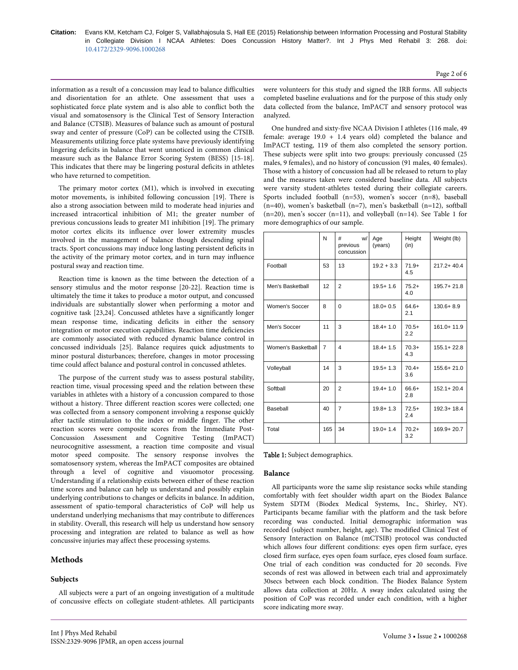information as a result of a concussion may lead to balance difficulties and disorientation for an athlete. One assessment that uses a sophisticated force plate system and is also able to conflict both the visual and somatosensory is the Clinical Test of Sensory Interaction and Balance (CTSIB). Measures of balance such as amount of postural sway and center of pressure (CoP) can be collected using the CTSIB. Measurements utilizing force plate systems have previously identifying lingering deficits in balance that went unnoticed in common clinical measure such as the Balance Error Scoring System (BESS) [15-18]. This indicates that there may be lingering postural deficits in athletes who have returned to competition.

The primary motor cortex (M1), which is involved in executing motor movements, is inhibited following concussion [19]. There is also a strong association between mild to moderate head injuries and increased intracortical inhibition of M1; the greater number of previous concussions leads to greater M1 inhibition [19]. The primary motor cortex elicits its influence over lower extremity muscles involved in the management of balance though descending spinal tracts. Sport concussions may induce long lasting persistent deficits in the activity of the primary motor cortex, and in turn may influence postural sway and reaction time.

Reaction time is known as the time between the detection of a sensory stimulus and the motor response [20-22]. Reaction time is ultimately the time it takes to produce a motor output, and concussed individuals are substantially slower when performing a motor and cognitive task [23,24]. Concussed athletes have a significantly longer mean response time, indicating deficits in either the sensory integration or motor execution capabilities. Reaction time deficiencies are commonly associated with reduced dynamic balance control in concussed individuals [25]. Balance requires quick adjustments to minor postural disturbances; therefore, changes in motor processing time could affect balance and postural control in concussed athletes.

The purpose of the current study was to assess postural stability, reaction time, visual processing speed and the relation between these variables in athletes with a history of a concussion compared to those without a history. Three different reaction scores were collected; one was collected from a sensory component involving a response quickly after tactile stimulation to the index or middle finger. The other reaction scores were composite scores from the Immediate Post-Concussion Assessment and Cognitive Testing (ImPACT) neurocognitive assessment, a reaction time composite and visual motor speed composite. The sensory response involves the somatosensory system, whereas the ImPACT composites are obtained through a level of cognitive and visuomotor processing. Understanding if a relationship exists between either of these reaction time scores and balance can help us understand and possibly explain underlying contributions to changes or deficits in balance. In addition, assessment of spatio-temporal characteristics of CoP will help us understand underlying mechanisms that may contribute to differences in stability. Overall, this research will help us understand how sensory processing and integration are related to balance as well as how concussive injuries may affect these processing systems.

# **Methods**

## **Subjects**

All subjects were a part of an ongoing investigation of a multitude of concussive effects on collegiate student-athletes. All participants were volunteers for this study and signed the IRB forms. All subjects completed baseline evaluations and for the purpose of this study only data collected from the balance, ImPACT and sensory protocol was analyzed.

One hundred and sixty-five NCAA Division I athletes (116 male, 49 female: average  $19.0 + 1.4$  years old) completed the balance and ImPACT testing, 119 of them also completed the sensory portion. These subjects were split into two groups: previously concussed (25 males, 9 females), and no history of concussion (91 males, 40 females). Those with a history of concussion had all be released to return to play and the measures taken were considered baseline data. All subjects were varsity student-athletes tested during their collegiate careers. Sports included football (n=53), women's soccer (n=8), baseball  $(n=40)$ , women's basketball  $(n=7)$ , men's basketball  $(n=12)$ , softball  $(n=20)$ , men's soccer  $(n=11)$ , and volleyball  $(n=14)$ . See Table 1 for more demographics of our sample.

|                    | N              | W/<br>#<br>previous<br>concussion | Age<br>(years) | Height<br>(in) | Weight (lb)    |
|--------------------|----------------|-----------------------------------|----------------|----------------|----------------|
| Football           | 53             | 13                                | $19.2 + 3.3$   | $71.9+$<br>4.5 | $217.2 + 40.4$ |
| Men's Basketball   | 12             | $\overline{2}$                    | $19.5 + 1.6$   | $75.2+$<br>4.0 | $195.7 + 21.8$ |
| Women's Soccer     | 8              | $\Omega$                          | $18.0 + 0.5$   | $64.6+$<br>2.1 | $130.6 + 8.9$  |
| Men's Soccer       | 11             | 3                                 | $18.4 + 1.0$   | $70.5+$<br>2.2 | $161.0 + 11.9$ |
| Women's Basketball | $\overline{7}$ | 4                                 | $18.4 + 1.5$   | $70.3+$<br>4.3 | $155.1 + 22.8$ |
| Volleyball         | 14             | 3                                 | $19.5 + 1.3$   | $70.4+$<br>3.6 | $155.6 + 21.0$ |
| Softball           | 20             | $\overline{2}$                    | $19.4 + 1.0$   | 66.6+<br>2.8   | $152.1 + 20.4$ |
| Baseball           | 40             | 7                                 | $19.8 + 1.3$   | $72.5+$<br>2.4 | 192.3+18.4     |
| Total              | 165            | 34                                | $19.0 + 1.4$   | $70.2+$<br>3.2 | 169.9+20.7     |

#### Table 1: Subject demographics.

### **Balance**

All participants wore the same slip resistance socks while standing comfortably with feet shoulder width apart on the Biodex Balance System SDTM (Biodex Medical Systems, Inc., Shirley, NY). Participants became familiar with the platform and the task before recording was conducted. Initial demographic information was recorded (subject number, height, age). The modified Clinical Test of Sensory Interaction on Balance (mCTSIB) protocol was conducted which allows four different conditions: eyes open firm surface, eyes closed firm surface, eyes open foam surface, eyes closed foam surface. One trial of each condition was conducted for 20 seconds. Five seconds of rest was allowed in between each trial and approximately 30secs between each block condition. The Biodex Balance System allows data collection at 20Hz. A sway index calculated using the position of CoP was recorded under each condition, with a higher score indicating more sway.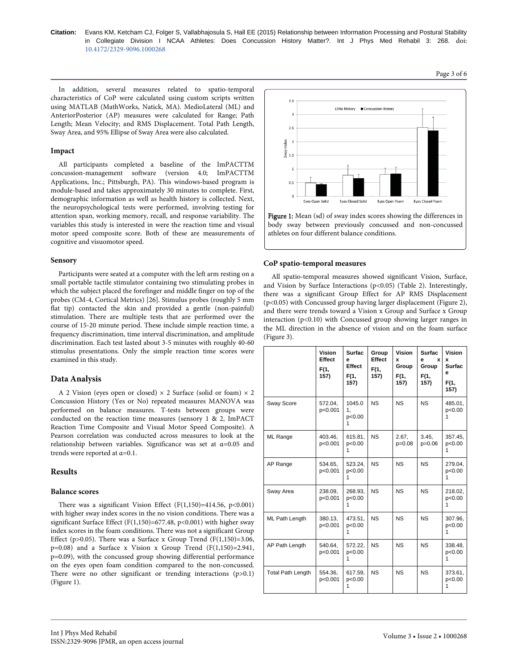Citation: Evans KM, Ketcham CJ, Folger S, Vallabhajosula S, Hall EE (2015) Relationship between Information Processing and Postural Stability in Collegiate Division I NCAA Athletes: Does Concussion History Matter?. Int J Phys Med Rehabil 3: 268. doi: 10.4172/2329-9096.1000268

In addition, several measures related to spatio-temporal characteristics of CoP were calculated using custom scripts written using MATLAB (MathWorks, Natick, MA). MedioLateral (ML) and AnteriorPosterior (AP) measures were calculated for Range; Path Length; Mean Velocity; and RMS Displacement. Total Path Length, Sway Area, and 95% Ellipse of Sway Area were also calculated.

## Impact

All participants completed a baseline of the ImPACTTM concussion-management software (version 4.0; ImPACTTM Applications, Inc.; Pittsburgh, PA). This windows-based program is module-based and takes approximately 30 minutes to complete. First, demographic information as well as health history is collected. Next, the neuropsychological tests were performed, involving testing for attention span, working memory, recall, and response variability. The variables this study is interested in were the reaction time and visual motor speed composite score. Both of these are measurements of cognitive and visuomotor speed.

## Sensory

Participants were seated at a computer with the left arm resting on a small portable tactile stimulator containing two stimulating probes in which the subject placed the forefinger and middle finger on top of the probes (CM-4, Cortical Metrics) [26]. Stimulus probes (roughly 5 mm flat tip) contacted the skin and provided a gentle (non-painful) stimulation. There are multiple tests that are performed over the course of 15-20 minute period. These include simple reaction time, a frequency discrimination, time interval discrimination, and amplitude discrimination. Each test lasted about 3-5 minutes with roughly 40-60 stimulus presentations. Only the simple reaction time scores were examined in this study.

# Data Analysis

A 2 Vision (eyes open or closed)  $\times$  2 Surface (solid or foam)  $\times$  2 Concussion History (Yes or No) repeated measures MANOVA was performed on balance measures. T-tests between groups were conducted on the reaction time measures (sensory 1 & 2, ImPACT Reaction Time Composite and Visual Motor Speed Composite). A Pearson correlation was conducted across measures to look at the relationship between variables. Significance was set at  $\alpha$ =0.05 and trends were reported at  $\alpha$ =0.1.

# **Results**

# **Balance scores**

There was a significant Vision Effect (F(1,150)=414.56, p<0.001) with higher sway index scores in the no vision conditions. There was a significant Surface Effect ( $F(1,150) = 677.48$ ,  $p < 0.001$ ) with higher sway index scores in the foam conditions. There was not a significant Group Effect (p>0.05). There was a Surface x Group Trend (F $(1,150)=3.06$ ,  $p=0.08$ ) and a Surface x Vision x Group Trend (F(1,150)=2.941, p=0.09), with the concussed group showing differential performance on the eyes open foam condition compared to the non-concussed. There were no other significant or trending interactions  $(p>0.1)$ (Figure 1).



Figure 1: Mean (sd) of sway index scores showing the differences in body sway between previously concussed and non-concussed athletes on four different balance conditions.

# CoP spatio-temporal measures

All spatio-temporal measures showed significant Vision, Surface, and Vision by Surface Interactions ( $p<0.05$ ) (Table 2). Interestingly, there was a significant Group Effect for AP RMS Displacement (p<0.05) with Concussed group having larger displacement (Figure 2), and there were trends toward a Vision x Group and Surface x Group interaction (p<0.10) with Concussed group showing larger ranges in the ML direction in the absence of vision and on the foam surface (Figure 3).

|                          | Vision<br>Effect<br>F(1,<br>157) | <b>Surfac</b><br>e<br>Effect<br>F(1,<br>157) | Group<br>Effect<br>F(1,<br>157) | Vision<br>x<br>Group<br>F(1,<br>157) | <b>Surfac</b><br>e<br>x<br>Group<br>F(1,<br>157) | Vision<br>x<br>Surfac<br>e<br>F(1,<br>157) |
|--------------------------|----------------------------------|----------------------------------------------|---------------------------------|--------------------------------------|--------------------------------------------------|--------------------------------------------|
| Sway Score               | 572.04.<br>p<0.001               | 1045.0<br>1.<br>p<0.00<br>1                  | <b>NS</b>                       | <b>NS</b>                            | NS.                                              | 485.01.<br>p<0.00<br>1                     |
| ML Range                 | 403.46,<br>p<0.001               | 615.81,<br>p<0.00<br>1                       | <b>NS</b>                       | 2.67.<br>p=0.08                      | 3.45,<br>$p=0.06$                                | 357.45,<br>p<0.00<br>1                     |
| AP Range                 | 534.65.<br>p<0.001               | 523.24,<br>p<0.00<br>1                       | <b>NS</b>                       | <b>NS</b>                            | <b>NS</b>                                        | 279.04,<br>p<0.00<br>1                     |
| Sway Area                | 238.09,<br>p<0.001               | 268.93,<br>p<0.00<br>1                       | <b>NS</b>                       | <b>NS</b>                            | <b>NS</b>                                        | 218.02,<br>p<0.00<br>1                     |
| ML Path Length           | 380.13.<br>p<0.001               | 473.51.<br>p<0.00<br>1                       | <b>NS</b>                       | <b>NS</b>                            | <b>NS</b>                                        | 307.96.<br>p<0.00<br>1                     |
| AP Path Length           | 540.64.<br>p<0.001               | 572.22.<br>p<0.00<br>1                       | <b>NS</b>                       | <b>NS</b>                            | <b>NS</b>                                        | 338.48.<br>p<0.00<br>1                     |
| <b>Total Path Length</b> | 554.36.<br>p<0.001               | 617.59.<br>p<0.00<br>1                       | <b>NS</b>                       | <b>NS</b>                            | <b>NS</b>                                        | 373.61.<br>p<0.00<br>1                     |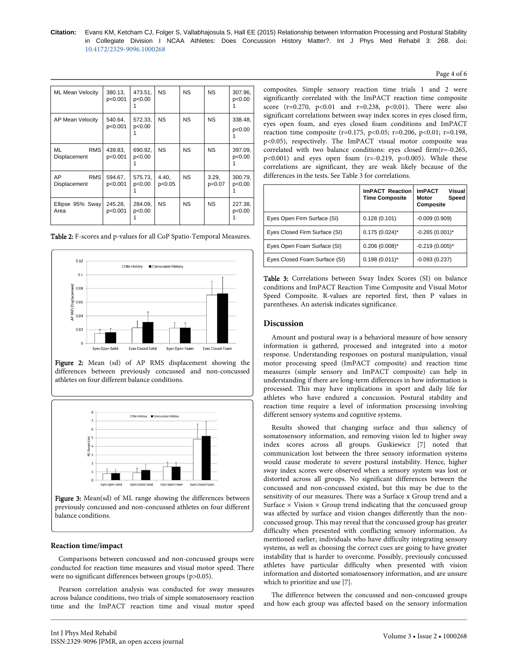| <b>ML Mean Velocity</b>          | 380.13,<br>p<0.001 | 473.51,<br>p<0.00 | <b>NS</b>       | <b>NS</b> | <b>NS</b>       | 307.96,<br>p<0.00 |
|----------------------------------|--------------------|-------------------|-----------------|-----------|-----------------|-------------------|
| AP Mean Velocity                 | 540.64,<br>p<0.001 | 572.33,<br>p<0.00 | <b>NS</b>       | NS        | NS.             | 338.48,<br>p<0.00 |
| ML<br><b>RMS</b><br>Displacement | 439.83.<br>p<0.001 | 690.92,<br>p<0.00 | <b>NS</b>       | NS        | NS.             | 397.09,<br>p<0.00 |
| AP<br><b>RMS</b><br>Displacement | 594.67,<br>p<0.001 | 575.73,<br>p<0.00 | 4.40.<br>p<0.05 | NS.       | 3.29,<br>p=0.07 | 300.79,<br>p<0.00 |
| Ellipse 95% Sway<br>Area         | 245.28.<br>p<0.001 | 284.09,<br>p<0.00 | <b>NS</b>       | NS.       | NS.             | 227.38,<br>p<0.00 |

Table 2: F-scores and p-values for all CoP Spatio-Temporal Measures.



Figure 2: Mean (sd) of AP RMS displacement showing the differences between previously concussed and non-concussed athletes on four different balance conditions.



Figure 3: Mean(sd) of ML range showing the differences between previously concussed and non-concussed athletes on four different balance conditions.

#### **Reaction time/impact**

Comparisons between concussed and non-concussed groups were conducted for reaction time measures and visual motor speed. There were no significant differences between groups (p>0.05).

Pearson correlation analysis was conducted for sway measures across balance conditions, two trials of simple somatosensory reaction time and the ImPACT reaction time and visual motor speed

composites. Simple sensory reaction time trials 1 and 2 were significantly correlated with the ImPACT reaction time composite score ( $r=0.270$ ,  $p<0.01$  and  $r=0.238$ ,  $p<0.01$ ). There were also significant correlations between sway index scores in eyes closed firm, eyes open foam, and eyes closed foam conditions and ImPACT reaction time composite (r=0.175, p<0.05; r=0.206, p<0.01; r=0.198,  $p<0.05$ ), respectively. The ImPACT visual motor composite was correlated with two balance conditions: eyes closed firm( $r=-0.265$ ,  $p<0.001$ ) and eyes open foam (r=-0.219, p=0.005). While these correlations are significant, they are weak likely because of the differences in the tests. See Table 3 for correlations.

|                               | <b>ImPACT Reaction</b><br><b>Time Composite</b> | <b>ImPACT</b><br>Visual<br>Speed<br>Motor<br>Composite |
|-------------------------------|-------------------------------------------------|--------------------------------------------------------|
| Eyes Open Firm Surface (SI)   | 0.128(0.101)                                    | $-0.009(0.909)$                                        |
| Eyes Closed Firm Surface (SI) | $0.175(0.024)^{*}$                              | $-0.265(0.001)^*$                                      |
| Eyes Open Foam Surface (SI)   | $0.206(0.008)^{*}$                              | $-0.219(0.005)^*$                                      |
| Eyes Closed Foam Surface (SI) | $0.198(0.011)^{*}$                              | $-0.093(0.237)$                                        |

Table 3: Correlations between Sway Index Scores (SI) on balance conditions and ImPACT Reaction Time Composite and Visual Motor Speed Composite. R-values are reported first, then P values in parentheses. An asterisk indicates significance.

### **Discussion**

Amount and postural sway is a behavioral measure of how sensory information is gathered, processed and integrated into a motor response. Understanding responses on postural manipulation, visual motor processing speed (ImPACT composite) and reaction time measures (simple sensory and ImPACT composite) can help in understanding if there are long-term differences in how information is processed. This may have implications in sport and daily life for athletes who have endured a concussion. Postural stability and reaction time require a level of information processing involving different sensory systems and cognitive systems.

Results showed that changing surface and thus saliency of somatosensory information, and removing vision led to higher sway index scores across all groups. Guskiewicz [7] noted that communication lost between the three sensory information systems would cause moderate to severe postural instability. Hence, higher sway index scores were observed when a sensory system was lost or distorted across all groups. No significant differences between the concussed and non-concussed existed, but this may be due to the sensitivity of our measures. There was a Surface x Group trend and a Surface  $\times$  Vision  $\times$  Group trend indicating that the concussed group was affected by surface and vision changes differently than the nonconcussed group. This may reveal that the concussed group has greater difficulty when presented with conflicting sensory information. As mentioned earlier, individuals who have difficulty integrating sensory systems, as well as choosing the correct cues are going to have greater instability that is harder to overcome. Possibly, previously concussed athletes have particular difficulty when presented with vision information and distorted somatosensory information, and are unsure which to prioritize and use [7].

The difference between the concussed and non-concussed groups and how each group was affected based on the sensory information

## Page 4 of 6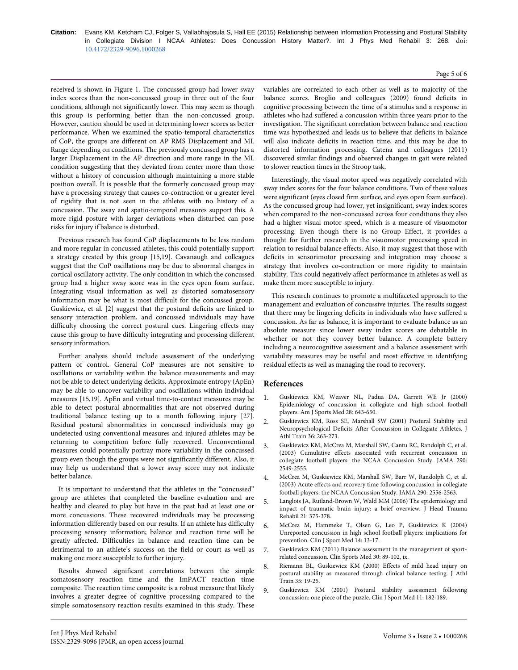Citation: Evans KM, Ketcham CJ, Folger S, Vallabhajosula S, Hall EE (2015) Relationship between Information Processing and Postural Stability in Collegiate Division I NCAA Athletes: Does Concussion History Matter?. Int J Phys Med Rehabil 3: 268. doi: 10.4172/2329-9096.1000268

#### Page 5 of 6

received is shown in Figure 1. The concussed group had lower sway index scores than the non-concussed group in three out of the four conditions, although not significantly lower. This may seem as though this group is performing better than the non-concussed group. However, caution should be used in determining lower scores as better performance. When we examined the spatio-temporal characteristics of CoP, the groups are different on AP RMS Displacement and ML Range depending on conditions. The previously concussed group has a larger Displacement in the AP direction and more range in the ML condition suggesting that they deviated from center more than those without a history of concussion although maintaining a more stable position overall. It is possible that the formerly concussed group may have a processing strategy that causes co-contraction or a greater level of rigidity that is not seen in the athletes with no history of a concussion. The sway and spatio-temporal measures support this. A more rigid posture with larger deviations when disturbed can pose risks for injury if balance is disturbed.

Previous research has found CoP displacements to be less random and more regular in concussed athletes, this could potentially support a strategy created by this group [15,19]. Cavanaugh and colleagues suggest that the CoP oscillations may be due to abnormal changes in cortical oscillatory activity. The only condition in which the concussed group had a higher sway score was in the eyes open foam surface. Integrating visual information as well as distorted somatosensory information may be what is most difficult for the concussed group. Guskiewicz, et al. [2] suggest that the postural deficits are linked to sensory interaction problem, and concussed individuals may have difficulty choosing the correct postural cues. Lingering effects may cause this group to have difficulty integrating and processing different sensory information.

Further analysis should include assessment of the underlying pattern of control. General CoP measures are not sensitive to oscillations or variability within the balance measurements and may not be able to detect underlying deficits. Approximate entropy (ApEn) may be able to uncover variability and oscillations within individual measures [15,19]. ApEn and virtual time-to-contact measures may be able to detect postural abnormalities that are not observed during traditional balance testing up to a month following injury [27]. Residual postural abnormalities in concussed individuals may go undetected using conventional measures and injured athletes may be returning to competition before fully recovered. Unconventional measures could potentially portray more variability in the concussed group even though the groups were not significantly different. Also, it may help us understand that a lower sway score may not indicate better balance.

It is important to understand that the athletes in the "concussed" group are athletes that completed the baseline evaluation and are healthy and cleared to play but have in the past had at least one or more concussions. These recovered individuals may be processing information differently based on our results. If an athlete has difficulty processing sensory information; balance and reaction time will be greatly affected. Difficulties in balance and reaction time can be detrimental to an athlete's success on the field or court as well as making one more susceptible to further injury.

Results showed significant correlations between the simple somatosensory reaction time and the ImPACT reaction time composite. The reaction time composite is a robust measure that likely involves a greater degree of cognitive processing compared to the simple somatosensory reaction results examined in this study. These

variables are correlated to each other as well as to majority of the balance scores. Broglio and colleagues (2009) found deficits in cognitive processing between the time of a stimulus and a response in athletes who had suffered a concussion within three years prior to the investigation. The significant correlation between balance and reaction time was hypothesized and leads us to believe that deficits in balance will also indicate deficits in reaction time, and this may be due to distorted information processing. Catena and colleagues (2011) discovered similar findings and observed changes in gait were related to slower reaction times in the Stroop task.

Interestingly, the visual motor speed was negatively correlated with sway index scores for the four balance conditions. Two of these values were significant (eyes closed firm surface, and eyes open foam surface). As the concussed group had lower, yet insignificant, sway index scores when compared to the non-concussed across four conditions they also had a higher visual motor speed, which is a measure of visuomotor processing. Even though there is no Group Effect, it provides a thought for further research in the visuomotor processing speed in relation to residual balance effects. Also, it may suggest that those with deficits in sensorimotor processing and integration may choose a strategy that involves co-contraction or more rigidity to maintain stability. This could negatively affect performance in athletes as well as make them more susceptible to injury.

This research continues to promote a multifaceted approach to the management and evaluation of concussive injuries. The results suggest that there may be lingering deficits in individuals who have suffered a concussion. As far as balance, it is important to evaluate balance as an absolute measure since lower sway index scores are debatable in whether or not they convey better balance. A complete battery including a neurocognitive assessment and a balance assessment with variability measures may be useful and most effective in identifying residual effects as well as managing the road to recovery.

## References

- Guskiewicz KM, Weaver NL, Padua DA, Garrett WE Jr (2000) 1. Epidemiology of concussion in collegiate and high school football players. Am J Sports Med 28: 643-650.
- Guskiewicz KM, Ross SE, Marshall SW (2001) Postural Stability and  $2<sub>1</sub>$ Neuropsychological Deficits After Concussion in Collegiate Athletes. J Athl Train 36: 263-273.
- Guskiewicz KM, McCrea M, Marshall SW, Cantu RC, Randolph C, et al. (2003) Cumulative effects associated with recurrent concussion in collegiate football players: the NCAA Concussion Study. JAMA 290: 2549-2555.
- McCrea M, Guskiewicz KM, Marshall SW, Barr W, Randolph C, et al. (2003) Acute effects and recovery time following concussion in collegiate football players: the NCAA Concussion Study. JAMA 290: 2556-2563.
- Langlois JA, Rutland-Brown W, Wald MM (2006) The epidemiology and 5 impact of traumatic brain injury: a brief overview. J Head Trauma Rehabil 21: 375-378.
- McCrea M, Hammeke T, Olsen G, Leo P, Guskiewicz K (2004) 6 Unreported concussion in high school football players: implications for prevention. Clin J Sport Med 14: 13-17.
- Guskiewicz KM (2011) Balance assessment in the management of sport-7. related concussion. Clin Sports Med 30: 89-102, ix.
- Riemann BL, Guskiewicz KM (2000) Effects of mild head injury on postural stability as measured through clinical balance testing. J Athl Train 35: 19-25.
- Guskiewicz KM (2001) Postural stability assessment following  $\mathbf{Q}$ concussion: one piece of the puzzle. Clin J Sport Med 11: 182-189.